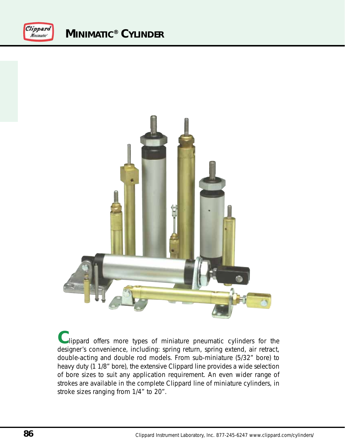



**C**lippard offers more types of miniature pneumatic cylinders for the designer's convenience, including: spring return, spring extend, air retract, double-acting and double rod models. From sub-miniature (5/32" bore) to heavy duty (1 1/8" bore), the extensive Clippard line provides a wide selection of bore sizes to suit any application requirement. An even wider range of strokes are available in the complete Clippard line of miniature cylinders, in stroke sizes ranging from 1/4" to 20".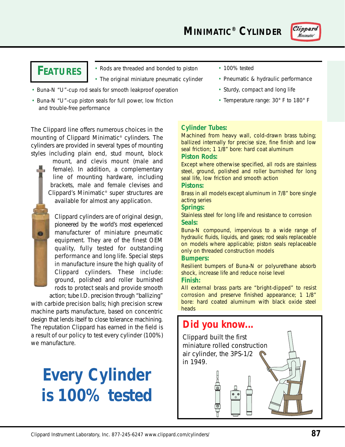**MINIMATIC® CYLINDER**



# **FEATURES**

• Rods are threaded and bonded to piston

- The original miniature pneumatic cylinder
- Buna-N "U"-cup rod seals for smooth leakproof operation
- Buna-N "U"-cup piston seals for full power, low friction and trouble-free performance
- 100% tested
- Pneumatic & hydraulic performance
- Sturdy, compact and long life
- Temperature range: 30° F to 180° F

The Clippard line offers numerous choices in the mounting of Clippard Minimatic® cylinders. The cylinders are provided in several types of mounting styles including plain end, stud mount, block

> mount, and clevis mount (male and female). In addition, a complementary line of mounting hardware, including brackets, male and female clevises and Clippard's Minimatic® super structures are available for almost any application.

Clippard cylinders are of original design, pioneered by the world's most experienced manufacturer of miniature pneumatic equipment. They are of the finest OEM quality, fully tested for outstanding performance and long life. Special steps in manufacture insure the high quality of Clippard cylinders. These include: ground, polished and roller burnished rods to protect seals and provide smooth

action; tube I.D. precision through "ballizing" with carbide precision balls; high precision screw machine parts manufacture, based on concentric design that lends itself to close tolerance machining. The reputation Clippard has earned in the field is a result of our policy to test every cylinder (100%) we manufacture.

# **Every Cylinder is 100% tested**

### **Cylinder Tubes:**

Machined from heavy wall, cold-drawn brass tubing; ballized internally for precise size, fine finish and low seal friction; 1 1/8" bore: hard coat aluminum

### **Piston Rods:**

Except where otherwise specified, all rods are stainless steel, ground, polished and roller burnished for long seal life, low friction and smooth action

### **Pistons:**

Brass in all models except aluminum in 7/8" bore single acting series

### **Springs:**

Stainless steel for long life and resistance to corrosion **Seals:**

Buna-N compound, impervious to a wide range of hydraulic fluids, liquids, and gases; rod seals replaceable on models where applicable; piston seals replaceable only on threaded construction models

### **Bumpers:**

Resilient bumpers of Buna-N or polyurethane absorb shock, increase life and reduce noise level

### **Finish:**

All external brass parts are "bright-dipped" to resist corrosion and preserve finished appearance; 1 1/8" bore: hard coated aluminum with black oxide steel heads

### **Did you know...**

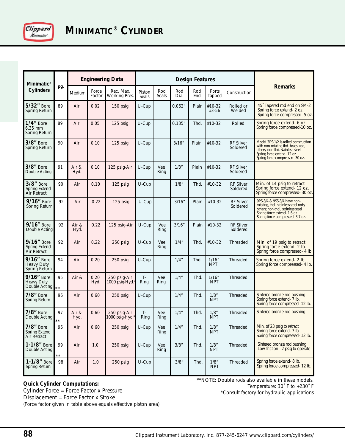

| <b>Minimatic</b> <sup>®</sup><br><b>Cylinders</b> | pg.                | <b>Engineering Data</b> |                 |                                    | <b>Design Features</b> |              |             |            |                      |                              |                                                                                                                                                                               |
|---------------------------------------------------|--------------------|-------------------------|-----------------|------------------------------------|------------------------|--------------|-------------|------------|----------------------|------------------------------|-------------------------------------------------------------------------------------------------------------------------------------------------------------------------------|
|                                                   |                    | Medium                  | Force<br>Factor | Rec. Max.<br>Working Pres.         | Piston<br>Seals        | Rod<br>Seals | Rod<br>Dia. | Rod<br>End | Ports<br>Tapped      | Construction                 | <b>Remarks</b>                                                                                                                                                                |
| 5/32" Bore<br>Spring Return                       | 89                 | Air                     | 0.02            | 150 psig                           | U-Cup                  |              | 0.062"      | Plain      | #10-32<br>#3-56      | Rolled or<br>Welded          | 45° Tapered rod end on SM-2<br>Spring force extend- 2 oz.<br>Spring force compressed- 5 oz.                                                                                   |
| $1/4$ " Bore<br>6.35 mm<br>Spring Return          | 89                 | Air                     | 0.05            | 125 psig                           | U-Cup                  |              | 0.135"      | Thd.       | #10-32               | Rolled                       | Spring force extend- 6 oz.<br>Spring force compressed-10 oz.                                                                                                                  |
| $3/8$ " Bore<br>Spring Return                     | 90                 | Air                     | 0.10            | 125 psig                           | U-Cup                  |              | 3/16"       | Plain      | $#10-32$             | <b>RF Silver</b><br>Soldered | Model 3PS-1/2 is rolled construction<br>with non-rotating thd. brass rod,<br>others; non-thd. stainless steel<br>Spring force extend-12 oz.<br>Spring force compressed-30 oz. |
| $3/8$ " Bore<br>Double Acting                     | 91                 | Air &<br>Hyd.           | 0.10            | 125 psig-Air                       | U-Cup                  | Vee<br>Ring  | 1/8"        | Plain      | #10-32               | <b>RF Silver</b><br>Soldered |                                                                                                                                                                               |
| $3/8$ " Bore<br>Spring Extend<br>Air Retract      | 90                 | Air                     | 0.10            | 125 psig                           | U-Cup                  |              | 1/8"        | Thd.       | #10-32               | RF Silver<br>Soldered        | Min. of 14 psig to retract<br>Spring force extend- 12 oz.<br>Spring force compressed- 30 oz.                                                                                  |
| 9/16" Bore<br>Spring Return                       | 92                 | Air                     | 0.22            | 125 psig                           | U-Cup                  |              | 3/16"       | Plain      | #10-32               | RF Silver<br>Soldered        | 9PS-3/4 & 9SS-3/4 have non-<br>rotating, thd., stainless steel rods,<br>others; non-thd., stainless steel<br>Spring force extend-1.6 oz.<br>Spring force compressed- 3.7 oz.  |
| 9/16" Bore<br>Double Acting                       | 92                 | Air &<br>Hyd.           | 0.22            | 125 psig-Air                       | U-Cup                  | Vee<br>Ring  | 3/16''      | Plain      | #10-32               | <b>RF Silver</b><br>Soldered |                                                                                                                                                                               |
| 9/16" Bore<br>Spring Extend<br>Air Retract        | 92                 | Air                     | 0.22            | 250 psig                           | U-Cup                  | Vee<br>Ring  | 1/4''       | Thd.       | #10-32               | Threaded                     | Min. of 19 psig to retract<br>Spring force extend- 2 lb.<br>Spring force compressed- 4 lb.                                                                                    |
| 9/16" Bore<br>Heavy Duty<br>Spring Return         | 94                 | Air                     | 0.20            | 250 psig                           | $U$ -Cup               |              | 1/4"        | Thd.       | 1/16''<br><b>NPT</b> | Threaded                     | Spring force extend- 2 lb.<br>Spring force compressed- 4 lb.                                                                                                                  |
| 9/16" Bore<br><b>Heavy Duty</b><br>Double Acting  | 95<br>$\star\star$ | Air &                   | 0.20<br>Hyd.    | 250 psig-Air<br>1000 psig-Hyd.     | $T -$<br>Ring          | Vee<br>Ring  | 1/4"        | Thd.       | 1/16"<br><b>NPT</b>  | Threaded                     |                                                                                                                                                                               |
| $7/8$ " Bore<br>Spring Return                     | 96                 | Air                     | 0.60            | 250 psig                           | U-Cup                  |              | 1/4"        | Thd.       | 1/8"<br><b>NPT</b>   | Threaded                     | Sintered bronze rod bushing<br>Spring force extend- 7 lb.<br>Spring force compressed- 12 lb.                                                                                  |
| $7/8$ " Bore<br>Double Acting                     | 97                 | Air &<br>Hyd.           | 0.60            | 250 psig-Air<br>1000 psig-Hyd. $*$ | T-<br>Ring             | Vee<br>Ring  | 1/4"        | Thd.       | 1/8"<br><b>NPT</b>   | Threaded                     | Sintered bronze rod bushing                                                                                                                                                   |
| $7/8$ " Bore<br>Spring Extend<br>Air Retract      | 96                 | Air                     | 0.60            | 250 psig                           | U-Cup                  | Vee<br>Ring  | 1/4"        | Thd.       | 1/8"<br><b>NPT</b>   | Threaded                     | Min. of 23 psig to retract<br>Spring force extend- 7 lb.<br>Spring force compressed-12 lb.                                                                                    |
| 1-1/8" Bore<br>Double Acting                      | 99<br>**           | Air                     | 1.0             | 250 psig                           | U-Cup                  | Vee<br>Ring  | 3/8''       | Thd.       | 1/8"<br><b>NPT</b>   | Threaded                     | Sintered bronze rod bushing<br>Low friction - 2 psig to operate                                                                                                               |
| 1-1/8" Bore<br>Spring Return                      | 98                 | Air                     | 1.0             | 250 psig                           | U-Cup                  |              | 3/8''       | Thd.       | 1/8"<br><b>NPT</b>   | Threaded                     | Spring force extend-8 lb.<br>Spring force compressed-12 lb.                                                                                                                   |

#### **Quick Cylinder Computations:** Cylinder Force = Force Factor x Pressure

\*\*NOTE: Double rods also available in these models. Temperature: 30˚ F to +230˚ F

\*Consult factory for hydraulic applications

Displacement = Force Factor x Stroke (Force factor given in table above equals effective piston area)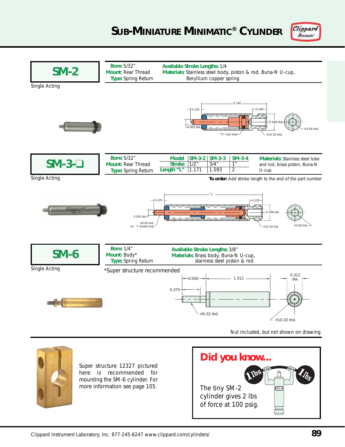## **SUB-MINIATURE MINIMATIC® CYLINDER**



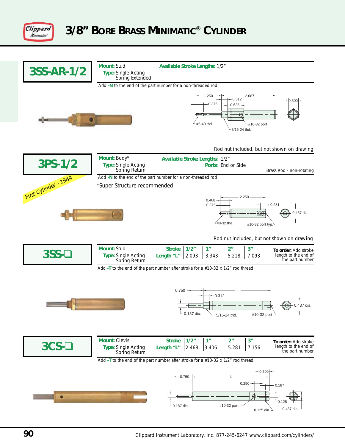

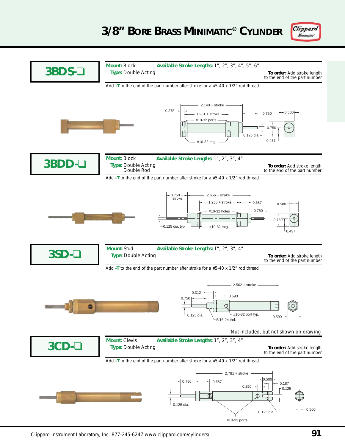

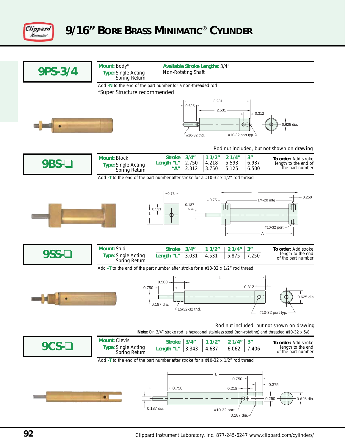

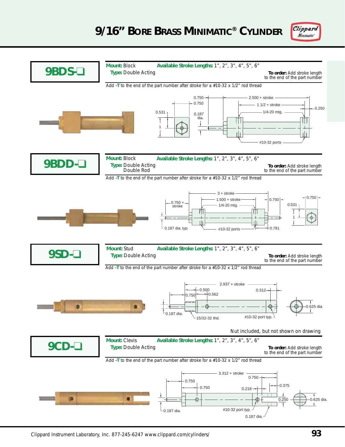

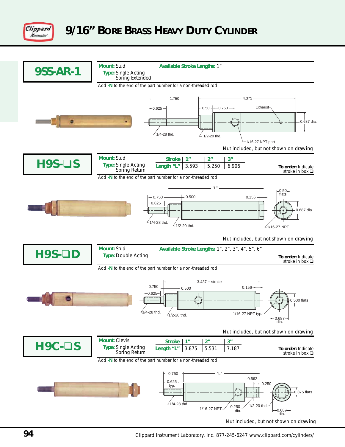

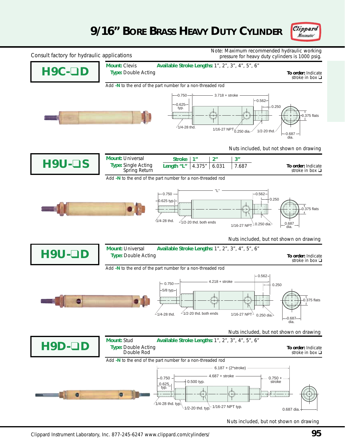# **9/16" BORE BRASS HEAVY DUTY CYLINDER**





Nuts included, but not shown on drawing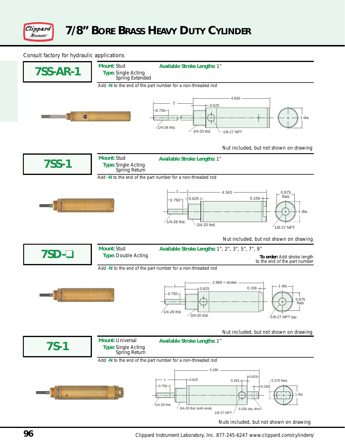

Consult factory for hydraulic applications

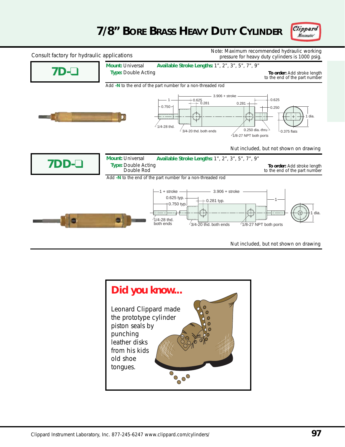# **7/8" BORE BRASS HEAVY DUTY CYLINDER**





Nut included, but not shown on drawing

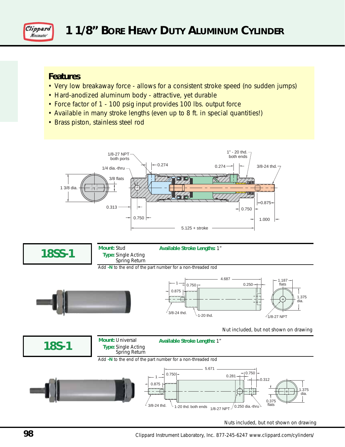

### **Features**

- Very low breakaway force allows for a consistent stroke speed (no sudden jumps)
- Hard-anodized aluminum body attractive, yet durable
- Force factor of 1 100 psig input provides 100 lbs. output force
- Available in many stroke lengths (even up to 8 ft. in special quantities!)
- Brass piston, stainless steel rod





**Mount:** Stud **Type:** Single Acting **Available Stroke Lengths:** 1"

Spring Return

Add **-N** to the end of the part number for a non-threaded rod





Nut included, but not shown on drawing



Nuts included, but not shown on drawing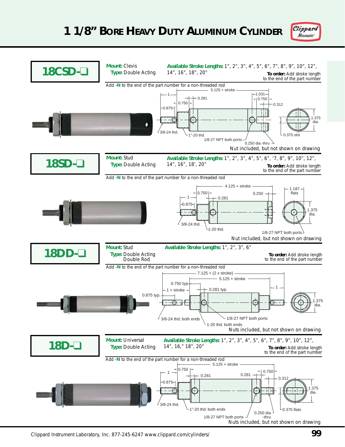

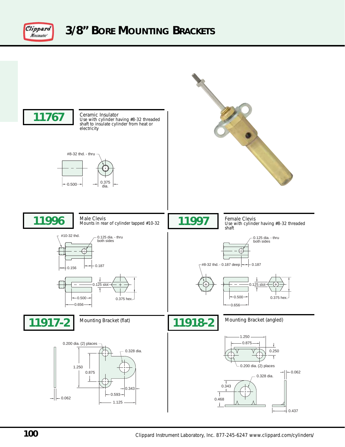

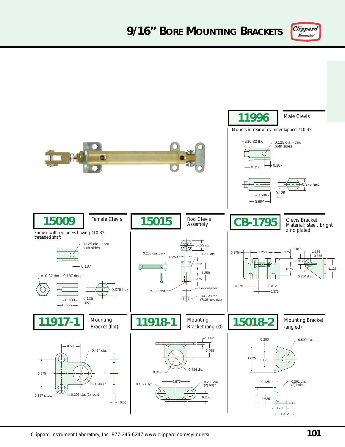

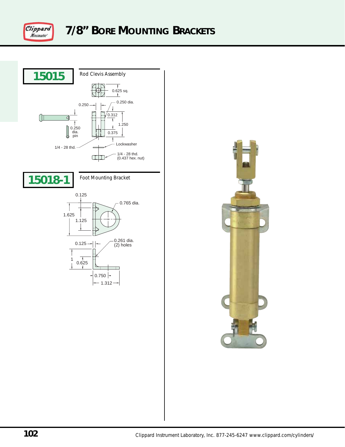



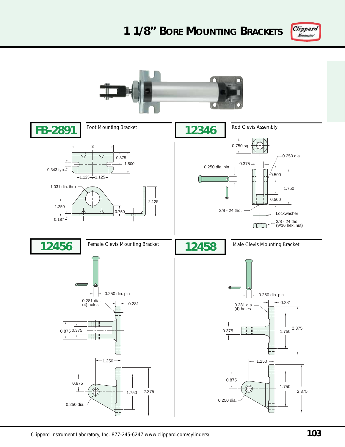# **1 1/8" BORE MOUNTING BRACKETS**



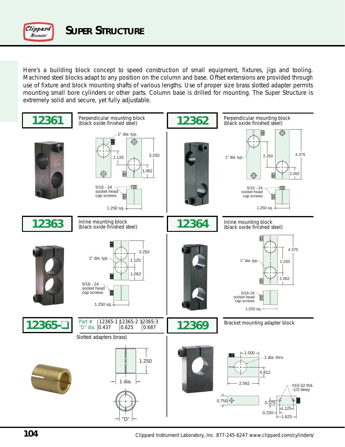

Here's a building block concept to speed construction of small equipment, fixtures, jigs and tooling. Machined steel blocks adapt to any position on the column and base. Offset extensions are provided through use of fixture and block mounting shafts of various lengths. Use of proper size brass slotted adapter permits mounting small bore cylinders or other parts. Column base is drilled for mounting. The Super Structure is extremely solid and secure, yet fully adjustable.

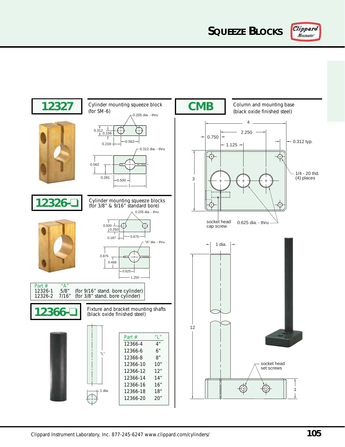**SQUEEZE BLOCKS**